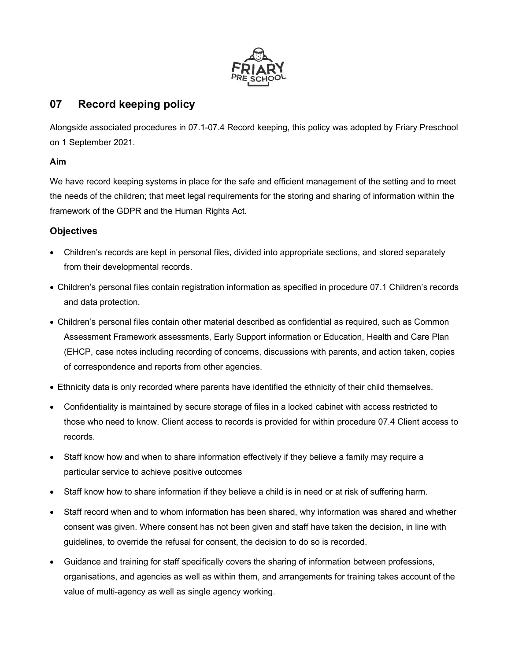

# 07 Record keeping policy

Alongside associated procedures in 07.1-07.4 Record keeping, this policy was adopted by Friary Preschool on 1 September 2021.

### Aim

We have record keeping systems in place for the safe and efficient management of the setting and to meet the needs of the children; that meet legal requirements for the storing and sharing of information within the framework of the GDPR and the Human Rights Act.

## **Objectives**

- Children's records are kept in personal files, divided into appropriate sections, and stored separately from their developmental records.
- Children's personal files contain registration information as specified in procedure 07.1 Children's records and data protection.
- Children's personal files contain other material described as confidential as required, such as Common Assessment Framework assessments, Early Support information or Education, Health and Care Plan (EHCP, case notes including recording of concerns, discussions with parents, and action taken, copies of correspondence and reports from other agencies.
- Ethnicity data is only recorded where parents have identified the ethnicity of their child themselves.
- Confidentiality is maintained by secure storage of files in a locked cabinet with access restricted to those who need to know. Client access to records is provided for within procedure 07.4 Client access to records.
- Staff know how and when to share information effectively if they believe a family may require a particular service to achieve positive outcomes
- Staff know how to share information if they believe a child is in need or at risk of suffering harm.
- Staff record when and to whom information has been shared, why information was shared and whether consent was given. Where consent has not been given and staff have taken the decision, in line with guidelines, to override the refusal for consent, the decision to do so is recorded.
- Guidance and training for staff specifically covers the sharing of information between professions, organisations, and agencies as well as within them, and arrangements for training takes account of the value of multi-agency as well as single agency working.